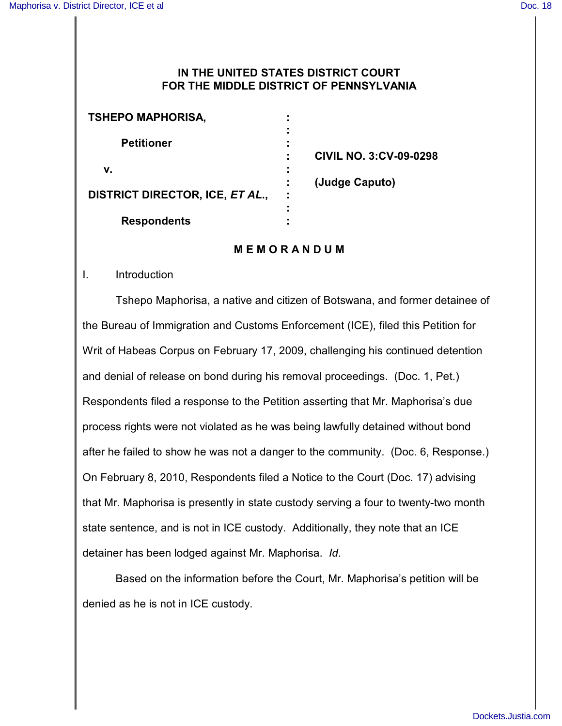## **IN THE UNITED STATES DISTRICT COURT FOR THE MIDDLE DISTRICT OF PENNSYLVANIA**

| <b>TSHEPO MAPHORISA,</b>        | ٠ |                                |
|---------------------------------|---|--------------------------------|
|                                 |   |                                |
| <b>Petitioner</b>               |   |                                |
|                                 |   | <b>CIVIL NO. 3: CV-09-0298</b> |
| v.                              |   |                                |
|                                 |   | (Judge Caputo)                 |
| DISTRICT DIRECTOR, ICE, ET AL., | ÷ |                                |
|                                 |   |                                |
| <b>Respondents</b>              |   |                                |

## **M E M O R A N D U M**

#### I. Introduction

Tshepo Maphorisa, a native and citizen of Botswana, and former detainee of the Bureau of Immigration and Customs Enforcement (ICE), filed this Petition for Writ of Habeas Corpus on February 17, 2009, challenging his continued detention and denial of release on bond during his removal proceedings. (Doc. 1, Pet.) Respondents filed a response to the Petition asserting that Mr. Maphorisa's due process rights were not violated as he was being lawfully detained without bond after he failed to show he was not a danger to the community. (Doc. 6, Response.) On February 8, 2010, Respondents filed a Notice to the Court (Doc. 17) advising that Mr. Maphorisa is presently in state custody serving a four to twenty-two month state sentence, and is not in ICE custody. Additionally, they note that an ICE detainer has been lodged against Mr. Maphorisa. *Id*.

Based on the information before the Court, Mr. Maphorisa's petition will be denied as he is not in ICE custody.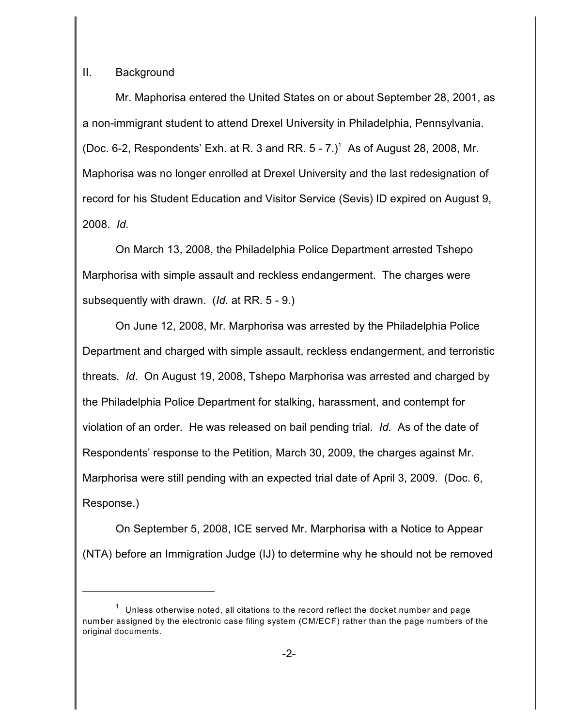# II. Background

Mr. Maphorisa entered the United States on or about September 28, 2001, as a non-immigrant student to attend Drexel University in Philadelphia, Pennsylvania. (Doc. 6-2, Respondents' Exh. at R. 3 and RR.  $5 - 7$ .)<sup>1</sup> As of August 28, 2008, Mr. Maphorisa was no longer enrolled at Drexel University and the last redesignation of record for his Student Education and Visitor Service (Sevis) ID expired on August 9, 2008. *Id.*

On March 13, 2008, the Philadelphia Police Department arrested Tshepo Marphorisa with simple assault and reckless endangerment. The charges were subsequently with drawn. (*Id.* at RR. 5 - 9.)

On June 12, 2008, Mr. Marphorisa was arrested by the Philadelphia Police Department and charged with simple assault, reckless endangerment, and terroristic threats. *Id*. On August 19, 2008, Tshepo Marphorisa was arrested and charged by the Philadelphia Police Department for stalking, harassment, and contempt for violation of an order. He was released on bail pending trial. *Id.* As of the date of Respondents' response to the Petition, March 30, 2009, the charges against Mr. Marphorisa were still pending with an expected trial date of April 3, 2009. (Doc. 6, Response.)

On September 5, 2008, ICE served Mr. Marphorisa with a Notice to Appear (NTA) before an Immigration Judge (IJ) to determine why he should not be removed

 $1$  Unless otherwise noted, all citations to the record reflect the docket number and page number assigned by the electronic case filing system (CM/ECF) rather than the page numbers of the original documents.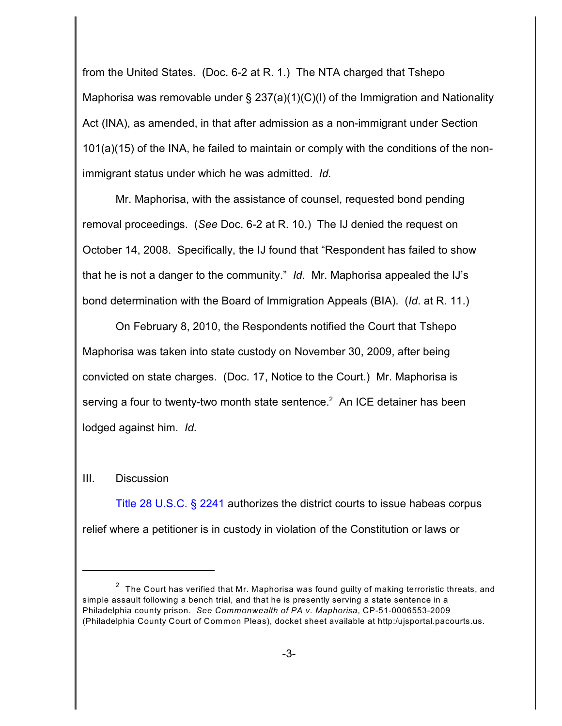from the United States. (Doc. 6-2 at R. 1.) The NTA charged that Tshepo Maphorisa was removable under § 237(a)(1)(C)(I) of the Immigration and Nationality Act (INA), as amended, in that after admission as a non-immigrant under Section 101(a)(15) of the INA, he failed to maintain or comply with the conditions of the nonimmigrant status under which he was admitted. *Id.*

Mr. Maphorisa, with the assistance of counsel, requested bond pending removal proceedings. (*See* Doc. 6-2 at R. 10.) The IJ denied the request on October 14, 2008. Specifically, the IJ found that "Respondent has failed to show that he is not a danger to the community." *Id*. Mr. Maphorisa appealed the IJ's bond determination with the Board of Immigration Appeals (BIA). (*Id*. at R. 11.)

On February 8, 2010, the Respondents notified the Court that Tshepo Maphorisa was taken into state custody on November 30, 2009, after being convicted on state charges. (Doc. 17, Notice to the Court.) Mr. Maphorisa is serving a four to twenty-two month state sentence.<sup>2</sup> An ICE detainer has been lodged against him. *Id.*

## III. Discussion

[Title 28 U.S.C. § 2241](http://www.westlaw.com/find/default.wl?rs=CLWP3.0&vr=2.0&cite=Title+28+USCA+s+2241) authorizes the district courts to issue habeas corpus relief where a petitioner is in custody in violation of the Constitution or laws or

 $2$  The Court has verified that Mr. Maphorisa was found guilty of making terroristic threats, and simple assault following a bench trial, and that he is presently serving a state sentence in a Philadelphia county prison. *See Commonwealth of PA v. Maphorisa*, CP-51-0006553-2009 (Philadelphia County Court of Common Pleas), docket sheet available at http:/ujsportal.pacourts.us.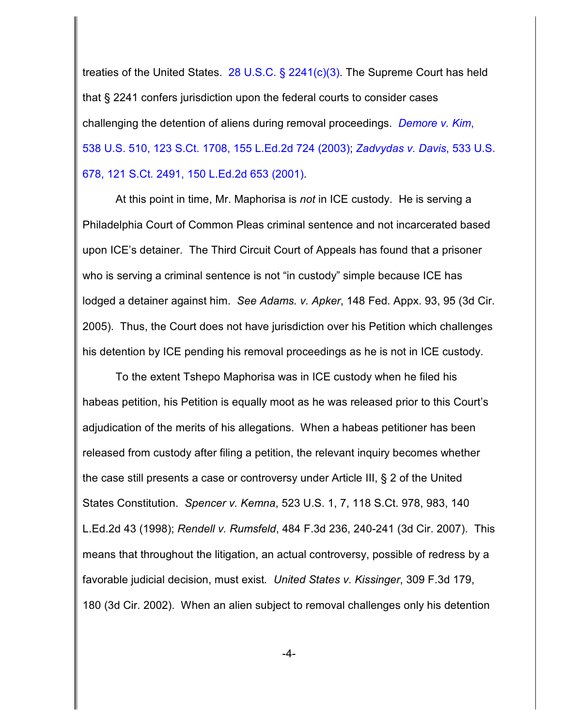treaties of the United States. [28 U.S.C. § 2241\(c\)\(3\)](http://www.westlaw.com/find/default.wl?rs=CLWP3.0&vr=2.0&cite=28+USCA+s+2241%28c%29%283%29). The Supreme Court has held that § 2241 confers jurisdiction upon the federal courts to consider cases challenging the detention of aliens during removal proceedings. *[Demore v. Kim](http://www.westlaw.com/find/default.wl?rs=CLWP3.0&vr=2.0&cite=538+U.S.+510)*, [538 U.S. 510, 123 S.Ct. 1708, 155 L.Ed.2d 724 \(2003\)](http://www.westlaw.com/find/default.wl?rs=CLWP3.0&vr=2.0&cite=538+U.S.+510); *[Zadvydas v. Davis](http://www.westlaw.com/find/default.wl?rs=CLWP3.0&vr=2.0&cite=533+U.S.+678)*, 533 U.S. [678, 121 S.Ct. 2491, 150 L.Ed.2d 653 \(2001\)](http://www.westlaw.com/find/default.wl?rs=CLWP3.0&vr=2.0&cite=533+U.S.+678).

At this point in time, Mr. Maphorisa is *not* in ICE custody. He is serving a Philadelphia Court of Common Pleas criminal sentence and not incarcerated based upon ICE's detainer. The Third Circuit Court of Appeals has found that a prisoner who is serving a criminal sentence is not "in custody" simple because ICE has lodged a detainer against him. *See Adams. v. Apker*, 148 Fed. Appx. 93, 95 (3d Cir. 2005). Thus, the Court does not have jurisdiction over his Petition which challenges his detention by ICE pending his removal proceedings as he is not in ICE custody.

To the extent Tshepo Maphorisa was in ICE custody when he filed his habeas petition, his Petition is equally moot as he was released prior to this Court's adjudication of the merits of his allegations. When a habeas petitioner has been released from custody after filing a petition, the relevant inquiry becomes whether the case still presents a case or controversy under Article III, § 2 of the United States Constitution. *Spencer v. Kemna*, 523 U.S. 1, 7, 118 S.Ct. 978, 983, 140 L.Ed.2d 43 (1998); *Rendell v. Rumsfeld*, 484 F.3d 236, 240-241 (3d Cir. 2007). This means that throughout the litigation, an actual controversy, possible of redress by a favorable judicial decision, must exist*. United States v. Kissinger*, 309 F.3d 179, 180 (3d Cir. 2002). When an alien subject to removal challenges only his detention